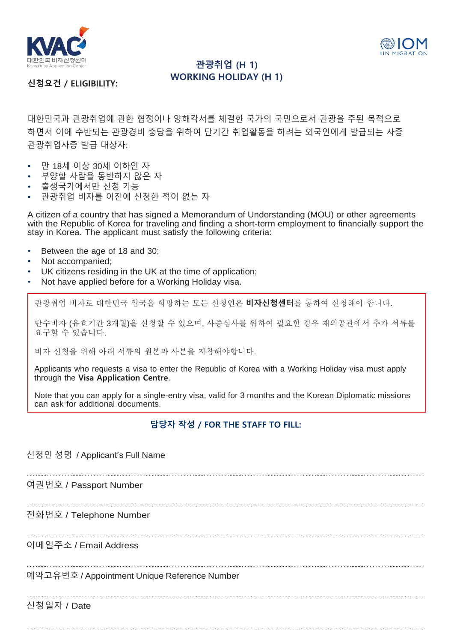



## **관광취업 (H 1) WORKING HOLIDAY (H 1)**

**신청요건 / ELIGIBILITY:**

대한민국과 관광취업에 관한 협정이나 양해각서를 체결한 국가의 국민으로서 관광을 주된 목적으로 하면서 이에 수반되는 관광경비 충당을 위하여 단기간 취업활동을 하려는 외국인에게 발급되는 사증 관광취업사증 발급 대상자:

- 만 18세 이상 30세 이하인 자
- 부양할 사람을 동반하지 않은 자
- 출생국가에서만 신청 가능
- 관광취업 비자를 이전에 신청한 적이 없는 자

A citizen of a country that has signed a Memorandum of Understanding (MOU) or other agreements with the Republic of Korea for traveling and finding a short-term employment to financially support the stay in Korea. The applicant must satisfy the following criteria:

- Between the age of 18 and 30;
- Not accompanied;
- UK citizens residing in the UK at the time of application;
- Not have applied before for a Working Holiday visa.

관광취업 비자로 대한민국 입국을 희망하는 모든 신청인은 **비자신청센터**를 통하여 신청해야 합니다.

단수비자 (유효기간 3개월)을 신청할 수 있으며, 사증심사를 위하여 필요한 경우 재외공관에서 추가 서류를 요구할 수 있습니다.

비자 신청을 위해 아래 서류의 원본과 사본을 지참해야합니다.

Applicants who requests a visa to enter the Republic of Korea with a Working Holiday visa must apply through the **Visa Application Centre**.

Note that you can apply for a single-entry visa, valid for 3 months and the Korean Diplomatic missions can ask for additional documents.

## **담당자 작성 / FOR THE STAFF TO FILL:**

## 신청인 성명 / Applicant's Full Name

여권번호 / Passport Number

전화번호 / Telephone Number

이메일주소 / Email Address

예약고유번호 / Appointment Unique Reference Number

신청일자 / Date